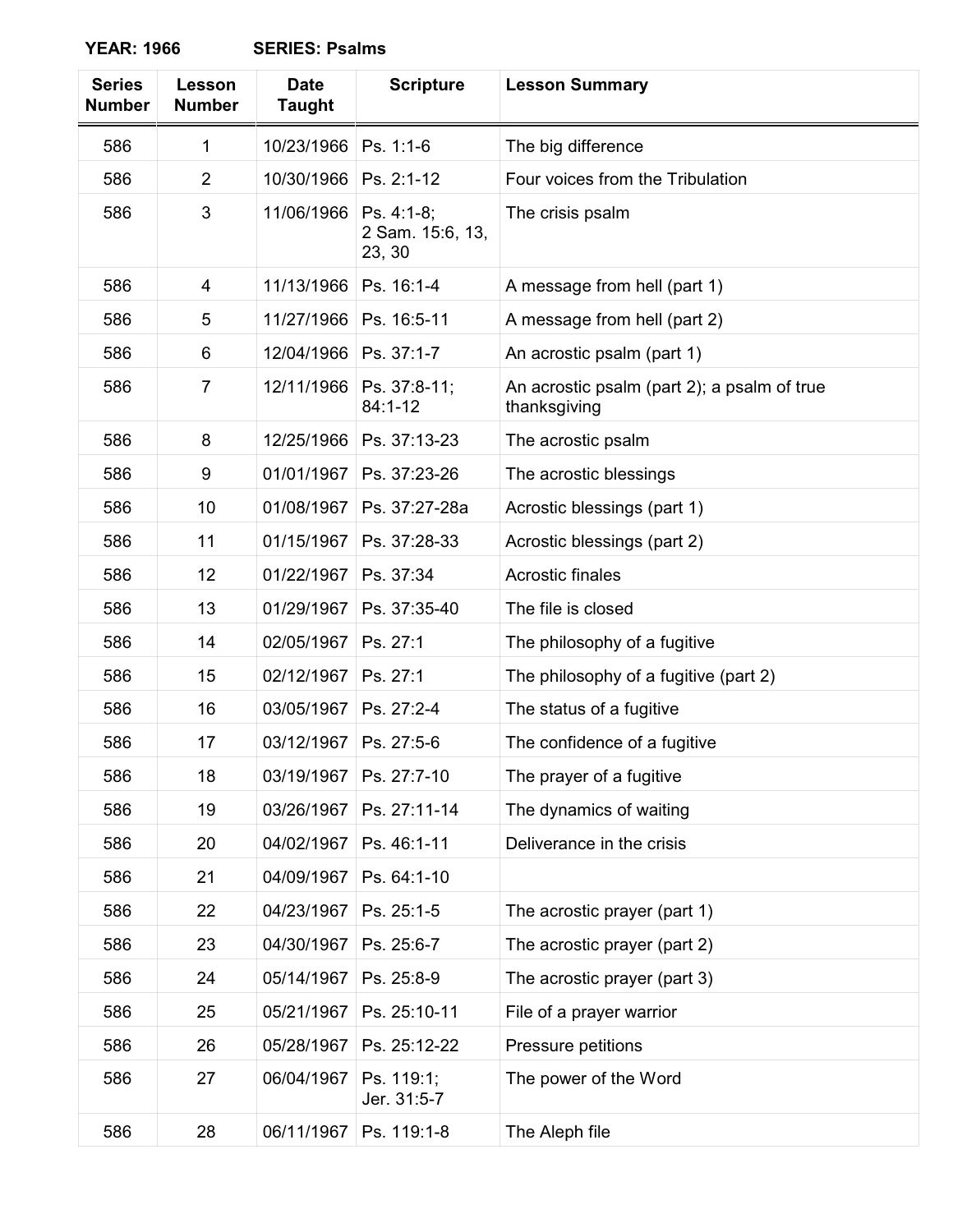**YEAR: 1966 SERIES: Psalms**

| <b>Series</b><br><b>Number</b> | Lesson<br><b>Number</b> | <b>Date</b><br>Taught | <b>Scripture</b>                         | <b>Lesson Summary</b>                                       |
|--------------------------------|-------------------------|-----------------------|------------------------------------------|-------------------------------------------------------------|
| 586                            | 1                       | 10/23/1966            | Ps. 1:1-6                                | The big difference                                          |
| 586                            | $\overline{2}$          | 10/30/1966            | Ps. 2:1-12                               | Four voices from the Tribulation                            |
| 586                            | 3                       | 11/06/1966            | Ps. 4:1-8;<br>2 Sam. 15:6, 13,<br>23, 30 | The crisis psalm                                            |
| 586                            | 4                       | 11/13/1966            | Ps. 16:1-4                               | A message from hell (part 1)                                |
| 586                            | 5                       | 11/27/1966            | Ps. 16:5-11                              | A message from hell (part 2)                                |
| 586                            | 6                       | 12/04/1966            | Ps. 37:1-7                               | An acrostic psalm (part 1)                                  |
| 586                            | $\overline{7}$          | 12/11/1966            | Ps. 37:8-11;<br>84:1-12                  | An acrostic psalm (part 2); a psalm of true<br>thanksgiving |
| 586                            | 8                       | 12/25/1966            | Ps. 37:13-23                             | The acrostic psalm                                          |
| 586                            | 9                       | 01/01/1967            | Ps. 37:23-26                             | The acrostic blessings                                      |
| 586                            | 10                      | 01/08/1967            | Ps. 37:27-28a                            | Acrostic blessings (part 1)                                 |
| 586                            | 11                      | 01/15/1967            | Ps. 37:28-33                             | Acrostic blessings (part 2)                                 |
| 586                            | 12                      | 01/22/1967            | Ps. 37:34                                | Acrostic finales                                            |
| 586                            | 13                      | 01/29/1967            | Ps. 37:35-40                             | The file is closed                                          |
| 586                            | 14                      | 02/05/1967            | Ps. 27:1                                 | The philosophy of a fugitive                                |
| 586                            | 15                      | 02/12/1967            | Ps. 27:1                                 | The philosophy of a fugitive (part 2)                       |
| 586                            | 16                      | 03/05/1967            | Ps. 27:2-4                               | The status of a fugitive                                    |
| 586                            | 17                      | 03/12/1967            | Ps. 27:5-6                               | The confidence of a fugitive                                |
| 586                            | 18                      | 03/19/1967            | Ps. 27:7-10                              | The prayer of a fugitive                                    |
| 586                            | 19                      | 03/26/1967            | Ps. 27:11-14                             | The dynamics of waiting                                     |
| 586                            | 20                      | 04/02/1967            | Ps. 46:1-11                              | Deliverance in the crisis                                   |
| 586                            | 21                      | 04/09/1967            | Ps. 64:1-10                              |                                                             |
| 586                            | 22                      | 04/23/1967            | Ps. 25:1-5                               | The acrostic prayer (part 1)                                |
| 586                            | 23                      | 04/30/1967            | Ps. 25:6-7                               | The acrostic prayer (part 2)                                |
| 586                            | 24                      | 05/14/1967            | Ps. 25:8-9                               | The acrostic prayer (part 3)                                |
| 586                            | 25                      | 05/21/1967            | Ps. 25:10-11                             | File of a prayer warrior                                    |
| 586                            | 26                      | 05/28/1967            | Ps. 25:12-22                             | Pressure petitions                                          |
| 586                            | 27                      | 06/04/1967            | Ps. 119:1;<br>Jer. 31:5-7                | The power of the Word                                       |
| 586                            | 28                      | 06/11/1967            | Ps. 119:1-8                              | The Aleph file                                              |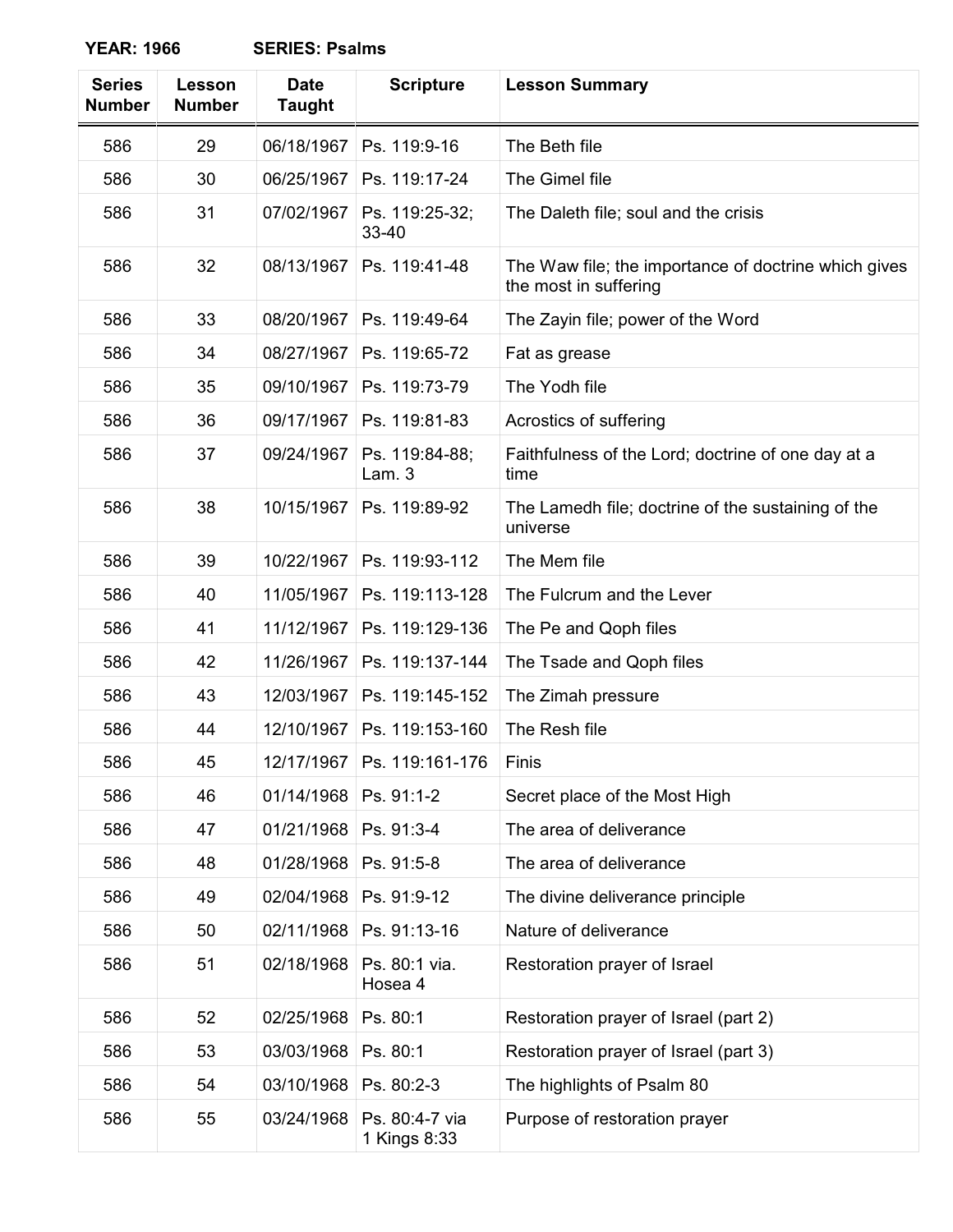**YEAR: 1966 SERIES: Psalms**

| <b>Series</b><br><b>Number</b> | Lesson<br><b>Number</b> | <b>Date</b><br><b>Taught</b> | <b>Scripture</b>               | <b>Lesson Summary</b>                                                         |
|--------------------------------|-------------------------|------------------------------|--------------------------------|-------------------------------------------------------------------------------|
| 586                            | 29                      | 06/18/1967                   | Ps. 119:9-16                   | The Beth file                                                                 |
| 586                            | 30                      | 06/25/1967                   | Ps. 119:17-24                  | The Gimel file                                                                |
| 586                            | 31                      | 07/02/1967                   | Ps. 119:25-32;<br>33-40        | The Daleth file; soul and the crisis                                          |
| 586                            | 32                      | 08/13/1967                   | Ps. 119:41-48                  | The Waw file; the importance of doctrine which gives<br>the most in suffering |
| 586                            | 33                      | 08/20/1967                   | Ps. 119:49-64                  | The Zayin file; power of the Word                                             |
| 586                            | 34                      | 08/27/1967                   | Ps. 119:65-72                  | Fat as grease                                                                 |
| 586                            | 35                      | 09/10/1967                   | Ps. 119:73-79                  | The Yodh file                                                                 |
| 586                            | 36                      | 09/17/1967                   | Ps. 119:81-83                  | Acrostics of suffering                                                        |
| 586                            | 37                      | 09/24/1967                   | Ps. 119:84-88;<br>Lam.3        | Faithfulness of the Lord; doctrine of one day at a<br>time                    |
| 586                            | 38                      | 10/15/1967                   | Ps. 119:89-92                  | The Lamedh file; doctrine of the sustaining of the<br>universe                |
| 586                            | 39                      | 10/22/1967                   | Ps. 119:93-112                 | The Mem file                                                                  |
| 586                            | 40                      | 11/05/1967                   | Ps. 119:113-128                | The Fulcrum and the Lever                                                     |
| 586                            | 41                      | 11/12/1967                   | Ps. 119:129-136                | The Pe and Qoph files                                                         |
| 586                            | 42                      | 11/26/1967                   | Ps. 119:137-144                | The Tsade and Qoph files                                                      |
| 586                            | 43                      | 12/03/1967                   | Ps. 119:145-152                | The Zimah pressure                                                            |
| 586                            | 44                      | 12/10/1967                   | Ps. 119:153-160                | The Resh file                                                                 |
| 586                            | 45                      |                              | 12/17/1967   Ps. 119:161-176   | Finis                                                                         |
| 586                            | 46                      | 01/14/1968                   | Ps. 91:1-2                     | Secret place of the Most High                                                 |
| 586                            | 47                      | 01/21/1968                   | Ps. 91:3-4                     | The area of deliverance                                                       |
| 586                            | 48                      | 01/28/1968                   | Ps. 91:5-8                     | The area of deliverance                                                       |
| 586                            | 49                      | 02/04/1968                   | Ps. 91:9-12                    | The divine deliverance principle                                              |
| 586                            | 50                      | 02/11/1968                   | Ps. 91:13-16                   | Nature of deliverance                                                         |
| 586                            | 51                      | 02/18/1968                   | Ps. 80:1 via.<br>Hosea 4       | Restoration prayer of Israel                                                  |
| 586                            | 52                      | 02/25/1968                   | Ps. 80:1                       | Restoration prayer of Israel (part 2)                                         |
| 586                            | 53                      | 03/03/1968                   | Ps. 80:1                       | Restoration prayer of Israel (part 3)                                         |
| 586                            | 54                      | 03/10/1968                   | Ps. 80:2-3                     | The highlights of Psalm 80                                                    |
| 586                            | 55                      | 03/24/1968                   | Ps. 80:4-7 via<br>1 Kings 8:33 | Purpose of restoration prayer                                                 |